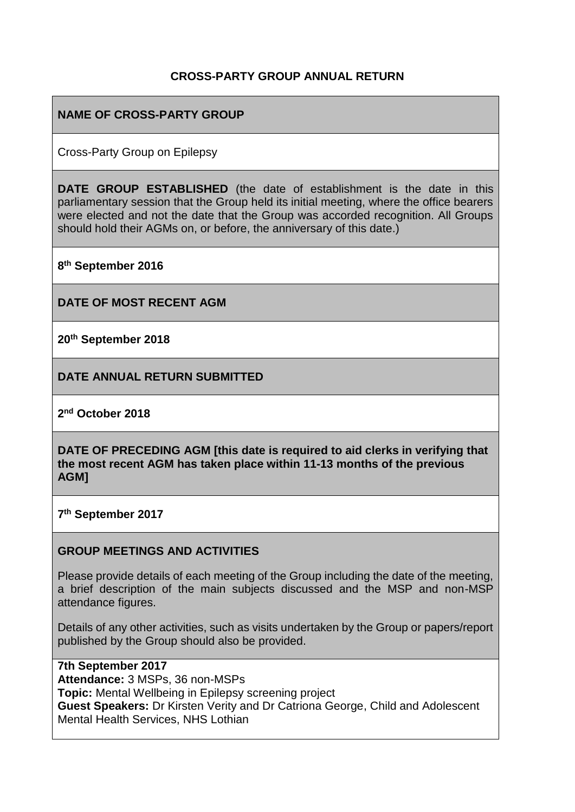### **CROSS-PARTY GROUP ANNUAL RETURN**

### **NAME OF CROSS-PARTY GROUP**

Cross-Party Group on Epilepsy

**DATE GROUP ESTABLISHED** (the date of establishment is the date in this parliamentary session that the Group held its initial meeting, where the office bearers were elected and not the date that the Group was accorded recognition. All Groups should hold their AGMs on, or before, the anniversary of this date.)

**8 th September 2016**

**DATE OF MOST RECENT AGM**

**20th September 2018**

**DATE ANNUAL RETURN SUBMITTED**

**2 nd October 2018**

**DATE OF PRECEDING AGM [this date is required to aid clerks in verifying that the most recent AGM has taken place within 11-13 months of the previous AGM]**

**7 th September 2017**

#### **GROUP MEETINGS AND ACTIVITIES**

Please provide details of each meeting of the Group including the date of the meeting, a brief description of the main subjects discussed and the MSP and non-MSP attendance figures.

Details of any other activities, such as visits undertaken by the Group or papers/report published by the Group should also be provided.

**7th September 2017 Attendance:** 3 MSPs, 36 non-MSPs **Topic:** Mental Wellbeing in Epilepsy screening project **Guest Speakers:** Dr Kirsten Verity and Dr Catriona George, Child and Adolescent Mental Health Services, NHS Lothian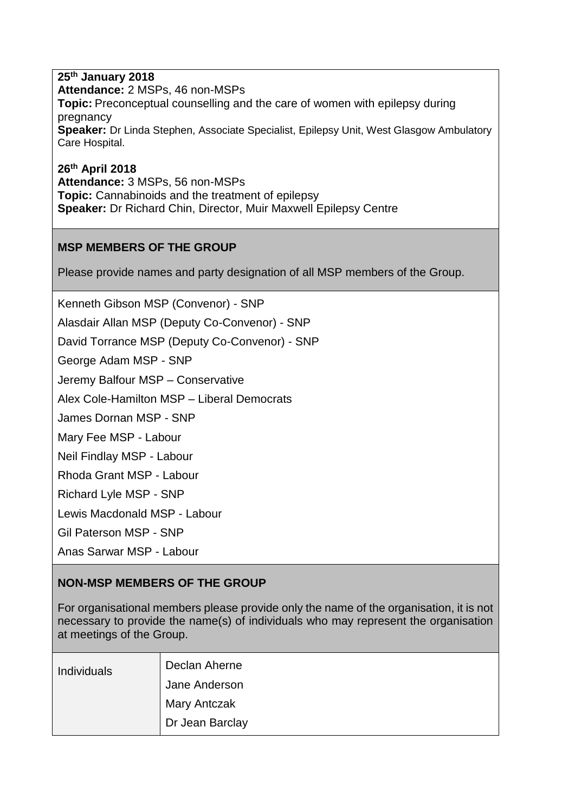**25th January 2018 Attendance:** 2 MSPs, 46 non-MSPs **Topic:** Preconceptual counselling and the care of women with epilepsy during pregnancy **Speaker:** Dr Linda Stephen, Associate Specialist, Epilepsy Unit, West Glasgow Ambulatory Care Hospital.

**26th April 2018 Attendance:** 3 MSPs, 56 non-MSPs **Topic:** Cannabinoids and the treatment of epilepsy **Speaker:** Dr Richard Chin, Director, Muir Maxwell Epilepsy Centre

### **MSP MEMBERS OF THE GROUP**

Please provide names and party designation of all MSP members of the Group.

Kenneth Gibson MSP (Convenor) - SNP

Alasdair Allan MSP (Deputy Co-Convenor) - SNP

David Torrance MSP (Deputy Co-Convenor) - SNP

George Adam MSP - SNP

Jeremy Balfour MSP – Conservative

Alex Cole-Hamilton MSP – Liberal Democrats

James Dornan MSP - SNP

Mary Fee MSP - Labour

Neil Findlay MSP - Labour

Rhoda Grant MSP - Labour

Richard Lyle MSP - SNP

Lewis Macdonald MSP - Labour

Gil Paterson MSP - SNP

Anas Sarwar MSP - Labour

### **NON-MSP MEMBERS OF THE GROUP**

For organisational members please provide only the name of the organisation, it is not necessary to provide the name(s) of individuals who may represent the organisation at meetings of the Group.

| <b>Individuals</b> | Declan Aherne<br>Jane Anderson |
|--------------------|--------------------------------|
|                    | Mary Antczak                   |
|                    | Dr Jean Barclay                |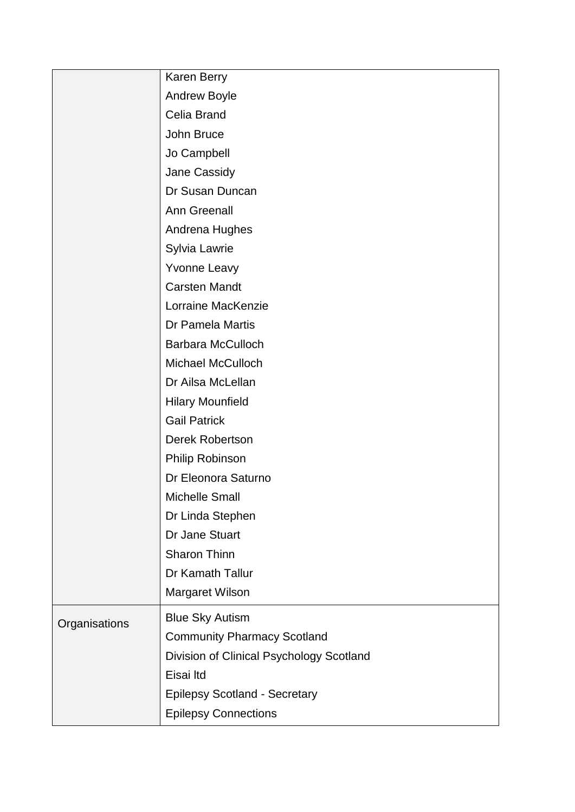|               | Karen Berry                              |
|---------------|------------------------------------------|
|               | Andrew Boyle                             |
|               | Celia Brand                              |
|               | John Bruce                               |
|               | Jo Campbell                              |
|               | Jane Cassidy                             |
|               | Dr Susan Duncan                          |
|               | <b>Ann Greenall</b>                      |
|               | Andrena Hughes                           |
|               | Sylvia Lawrie                            |
|               | <b>Yvonne Leavy</b>                      |
|               | <b>Carsten Mandt</b>                     |
|               | Lorraine MacKenzie                       |
|               | Dr Pamela Martis                         |
|               | <b>Barbara McCulloch</b>                 |
|               | <b>Michael McCulloch</b>                 |
|               | Dr Ailsa McLellan                        |
|               | <b>Hilary Mounfield</b>                  |
|               | <b>Gail Patrick</b>                      |
|               | Derek Robertson                          |
|               | Philip Robinson                          |
|               | Dr Eleonora Saturno                      |
|               | <b>Michelle Small</b>                    |
|               | Dr Linda Stephen                         |
|               | Dr Jane Stuart                           |
|               | Sharon Thinn                             |
|               | Dr Kamath Tallur                         |
|               | Margaret Wilson                          |
| Organisations | <b>Blue Sky Autism</b>                   |
|               | <b>Community Pharmacy Scotland</b>       |
|               | Division of Clinical Psychology Scotland |
|               | Eisai Itd                                |
|               | <b>Epilepsy Scotland - Secretary</b>     |
|               | <b>Epilepsy Connections</b>              |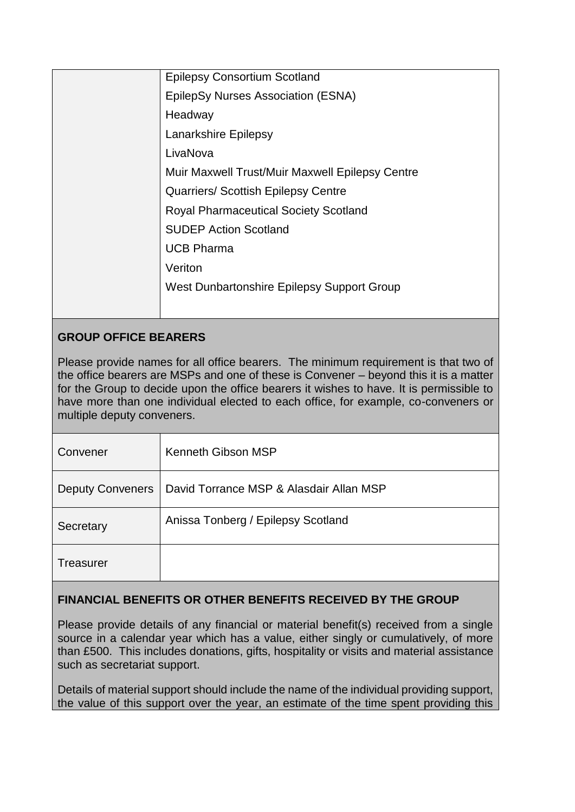| <b>Epilepsy Consortium Scotland</b>             |
|-------------------------------------------------|
| EpilepSy Nurses Association (ESNA)              |
| Headway                                         |
| Lanarkshire Epilepsy                            |
| LivaNova                                        |
| Muir Maxwell Trust/Muir Maxwell Epilepsy Centre |
| <b>Quarriers/ Scottish Epilepsy Centre</b>      |
| <b>Royal Pharmaceutical Society Scotland</b>    |
| <b>SUDEP Action Scotland</b>                    |
| <b>UCB Pharma</b>                               |
| Veriton                                         |
| West Dunbartonshire Epilepsy Support Group      |
|                                                 |
|                                                 |

# **GROUP OFFICE BEARERS**

Please provide names for all office bearers. The minimum requirement is that two of the office bearers are MSPs and one of these is Convener – beyond this it is a matter for the Group to decide upon the office bearers it wishes to have. It is permissible to have more than one individual elected to each office, for example, co-conveners or multiple deputy conveners.

| Convener                | Kenneth Gibson MSP                      |
|-------------------------|-----------------------------------------|
| <b>Deputy Conveners</b> | David Torrance MSP & Alasdair Allan MSP |
| Secretary               | Anissa Tonberg / Epilepsy Scotland      |
| Treasurer               |                                         |

## **FINANCIAL BENEFITS OR OTHER BENEFITS RECEIVED BY THE GROUP**

Please provide details of any financial or material benefit(s) received from a single source in a calendar year which has a value, either singly or cumulatively, of more than £500. This includes donations, gifts, hospitality or visits and material assistance such as secretariat support.

Details of material support should include the name of the individual providing support, the value of this support over the year, an estimate of the time spent providing this